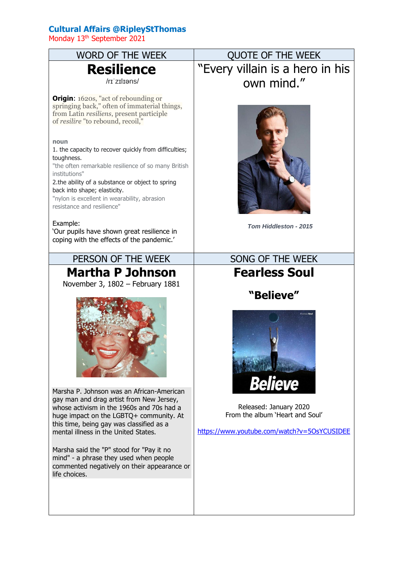## **Cultural Affairs @RipleyStThomas**

Monday 13<sup>th</sup> September 2021